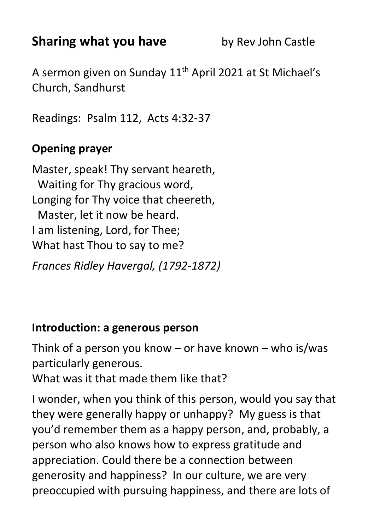# **Sharing what you have** by Rev John Castle

A sermon given on Sunday 11<sup>th</sup> April 2021 at St Michael's Church, Sandhurst

Readings: Psalm 112, Acts 4:32-37

#### **Opening prayer**

Master, speak! Thy servant heareth, Waiting for Thy gracious word, Longing for Thy voice that cheereth, Master, let it now be heard. I am listening, Lord, for Thee; What hast Thou to say to me?

*Frances Ridley Havergal, (1792-1872)*

#### **Introduction: a generous person**

Think of a person you know – or have known – who is/was particularly generous.

What was it that made them like that?

I wonder, when you think of this person, would you say that they were generally happy or unhappy? My guess is that you'd remember them as a happy person, and, probably, a person who also knows how to express gratitude and appreciation. Could there be a connection between generosity and happiness? In our culture, we are very preoccupied with pursuing happiness, and there are lots of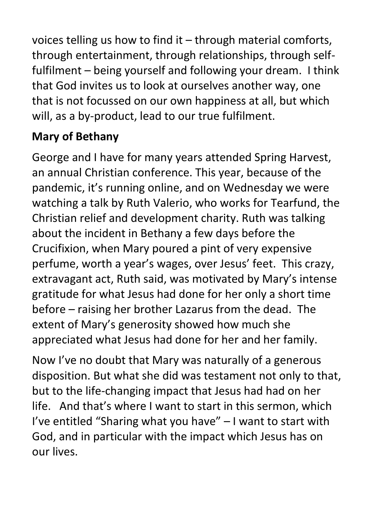voices telling us how to find it – through material comforts, through entertainment, through relationships, through selffulfilment – being yourself and following your dream. I think that God invites us to look at ourselves another way, one that is not focussed on our own happiness at all, but which will, as a by-product, lead to our true fulfilment.

### **Mary of Bethany**

George and I have for many years attended Spring Harvest, an annual Christian conference. This year, because of the pandemic, it's running online, and on Wednesday we were watching a talk by Ruth Valerio, who works for Tearfund, the Christian relief and development charity. Ruth was talking about the incident in Bethany a few days before the Crucifixion, when Mary poured a pint of very expensive perfume, worth a year's wages, over Jesus' feet. This crazy, extravagant act, Ruth said, was motivated by Mary's intense gratitude for what Jesus had done for her only a short time before – raising her brother Lazarus from the dead. The extent of Mary's generosity showed how much she appreciated what Jesus had done for her and her family.

Now I've no doubt that Mary was naturally of a generous disposition. But what she did was testament not only to that, but to the life-changing impact that Jesus had had on her life. And that's where I want to start in this sermon, which I've entitled "Sharing what you have" – I want to start with God, and in particular with the impact which Jesus has on our lives.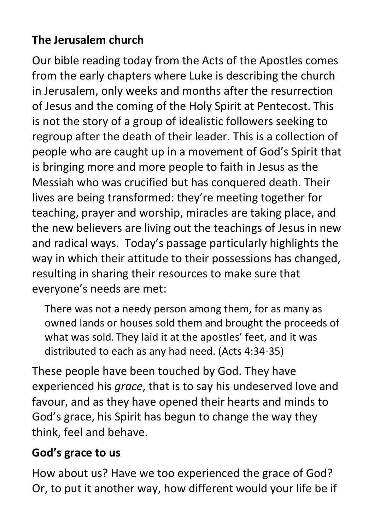### **The Jerusalem church**

Our bible reading today from the Acts of the Apostles comes from the early chapters where Luke is describing the church in Jerusalem, only weeks and months after the resurrection of Jesus and the coming of the Holy Spirit at Pentecost. This is not the story of a group of idealistic followers seeking to regroup after the death of their leader. This is a collection of people who are caught up in a movement of God's Spirit that is bringing more and more people to faith in Jesus as the Messiah who was crucified but has conquered death. Their lives are being transformed: they're meeting together for teaching, prayer and worship, miracles are taking place, and the new believers are living out the teachings of Jesus in new and radical ways. Today's passage particularly highlights the way in which their attitude to their possessions has changed, resulting in sharing their resources to make sure that everyone's needs are met:

There was not a needy person among them, for as many as owned lands or houses sold them and brought the proceeds of what was sold. They laid it at the apostles' feet, and it was distributed to each as any had need. (Acts 4:34-35)

These people have been touched by God. They have experienced his *grace*, that is to say his undeserved love and favour, and as they have opened their hearts and minds to God's grace, his Spirit has begun to change the way they think, feel and behave.

## **God's grace to us**

How about us? Have we too experienced the grace of God? Or, to put it another way, how different would your life be if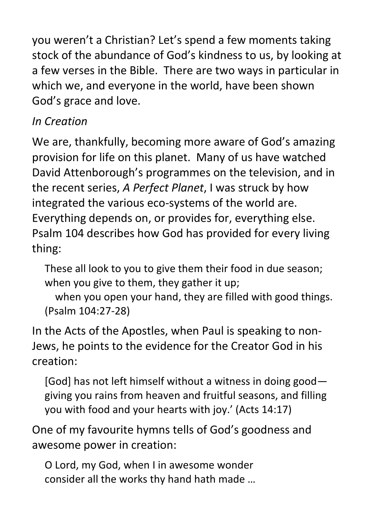you weren't a Christian? Let's spend a few moments taking stock of the abundance of God's kindness to us, by looking at a few verses in the Bible. There are two ways in particular in which we, and everyone in the world, have been shown God's grace and love.

# *In Creation*

We are, thankfully, becoming more aware of God's amazing provision for life on this planet. Many of us have watched David Attenborough's programmes on the television, and in the recent series, *A Perfect Planet*, I was struck by how integrated the various eco-systems of the world are. Everything depends on, or provides for, everything else. Psalm 104 describes how God has provided for every living thing:

These all look to you to give them their food in due season; when you give to them, they gather it up;

 when you open your hand, they are filled with good things. (Psalm 104:27-28)

In the Acts of the Apostles, when Paul is speaking to non-Jews, he points to the evidence for the Creator God in his creation:

[God] has not left himself without a witness in doing good giving you rains from heaven and fruitful seasons, and filling you with food and your hearts with joy.' (Acts 14:17)

One of my favourite hymns tells of God's goodness and awesome power in creation:

O Lord, my God, when I in awesome wonder consider all the works thy hand hath made …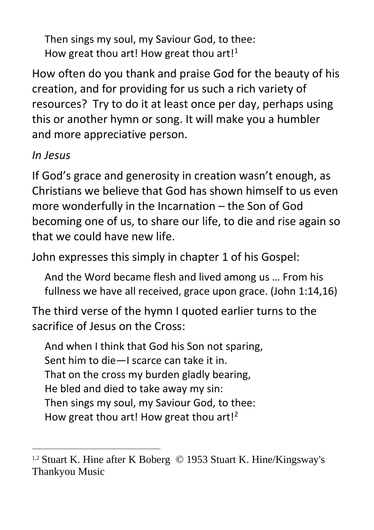Then sings my soul, my Saviour God, to thee: How great thou art! How great thou art!<sup>1</sup>

How often do you thank and praise God for the beauty of his creation, and for providing for us such a rich variety of resources? Try to do it at least once per day, perhaps using this or another hymn or song. It will make you a humbler and more appreciative person.

### *In Jesus*

If God's grace and generosity in creation wasn't enough, as Christians we believe that God has shown himself to us even more wonderfully in the Incarnation – the Son of God becoming one of us, to share our life, to die and rise again so that we could have new life.

John expresses this simply in chapter 1 of his Gospel:

And the Word became flesh and lived among us … From his fullness we have all received, grace upon grace. (John 1:14,16)

The third verse of the hymn I quoted earlier turns to the sacrifice of Jesus on the Cross:

And when I think that God his Son not sparing, Sent him to die—I scarce can take it in. That on the cross my burden gladly bearing, He bled and died to take away my sin: Then sings my soul, my Saviour God, to thee: How great thou art! How great thou art!<sup>2</sup>

<sup>1,2</sup> Stuart K. Hine after K Boberg © 1953 Stuart K. Hine/Kingsway's Thankyou Music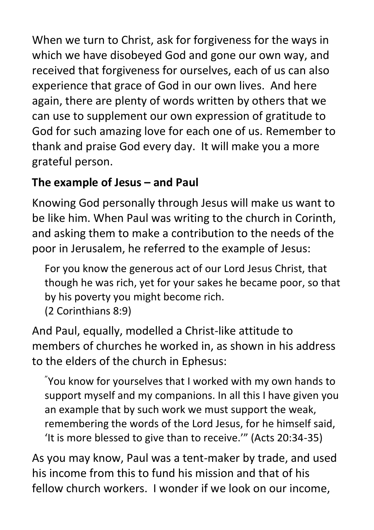When we turn to Christ, ask for forgiveness for the ways in which we have disobeyed God and gone our own way, and received that forgiveness for ourselves, each of us can also experience that grace of God in our own lives. And here again, there are plenty of words written by others that we can use to supplement our own expression of gratitude to God for such amazing love for each one of us. Remember to thank and praise God every day. It will make you a more grateful person.

### **The example of Jesus – and Paul**

Knowing God personally through Jesus will make us want to be like him. When Paul was writing to the church in Corinth, and asking them to make a contribution to the needs of the poor in Jerusalem, he referred to the example of Jesus:

For you know the generous act of our Lord Jesus Christ, that though he was rich, yet for your sakes he became poor, so that by his poverty you might become rich. (2 Corinthians 8:9)

And Paul, equally, modelled a Christ-like attitude to members of churches he worked in, as shown in his address to the elders of the church in Ephesus:

"You know for yourselves that I worked with my own hands to support myself and my companions. In all this I have given you an example that by such work we must support the weak, remembering the words of the Lord Jesus, for he himself said, 'It is more blessed to give than to receive.'" (Acts 20:34-35)

As you may know, Paul was a tent-maker by trade, and used his income from this to fund his mission and that of his fellow church workers. I wonder if we look on our income,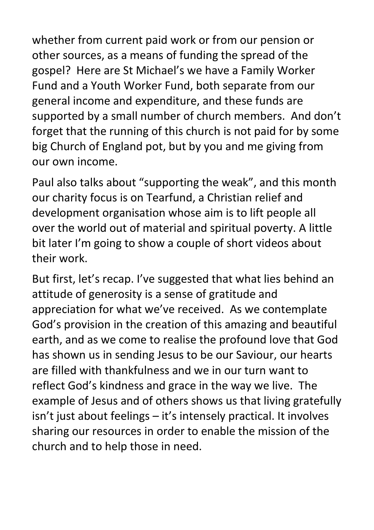whether from current paid work or from our pension or other sources, as a means of funding the spread of the gospel? Here are St Michael's we have a Family Worker Fund and a Youth Worker Fund, both separate from our general income and expenditure, and these funds are supported by a small number of church members. And don't forget that the running of this church is not paid for by some big Church of England pot, but by you and me giving from our own income.

Paul also talks about "supporting the weak", and this month our charity focus is on Tearfund, a Christian relief and development organisation whose aim is to lift people all over the world out of material and spiritual poverty. A little bit later I'm going to show a couple of short videos about their work.

But first, let's recap. I've suggested that what lies behind an attitude of generosity is a sense of gratitude and appreciation for what we've received. As we contemplate God's provision in the creation of this amazing and beautiful earth, and as we come to realise the profound love that God has shown us in sending Jesus to be our Saviour, our hearts are filled with thankfulness and we in our turn want to reflect God's kindness and grace in the way we live. The example of Jesus and of others shows us that living gratefully isn't just about feelings – it's intensely practical. It involves sharing our resources in order to enable the mission of the church and to help those in need.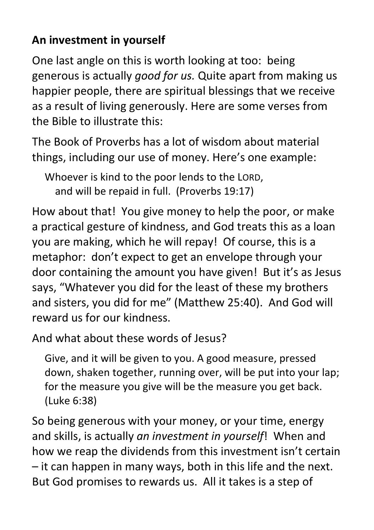## **An investment in yourself**

One last angle on this is worth looking at too: being generous is actually *good for us.* Quite apart from making us happier people, there are spiritual blessings that we receive as a result of living generously. Here are some verses from the Bible to illustrate this:

The Book of Proverbs has a lot of wisdom about material things, including our use of money. Here's one example:

Whoever is kind to the poor lends to the LORD, and will be repaid in full. (Proverbs 19:17)

How about that! You give money to help the poor, or make a practical gesture of kindness, and God treats this as a loan you are making, which he will repay! Of course, this is a metaphor: don't expect to get an envelope through your door containing the amount you have given! But it's as Jesus says, "Whatever you did for the least of these my brothers and sisters, you did for me" (Matthew 25:40). And God will reward us for our kindness.

And what about these words of Jesus?

Give, and it will be given to you. A good measure, pressed down, shaken together, running over, will be put into your lap; for the measure you give will be the measure you get back. (Luke 6:38)

So being generous with your money, or your time, energy and skills, is actually *an investment in yourself*! When and how we reap the dividends from this investment isn't certain – it can happen in many ways, both in this life and the next. But God promises to rewards us. All it takes is a step of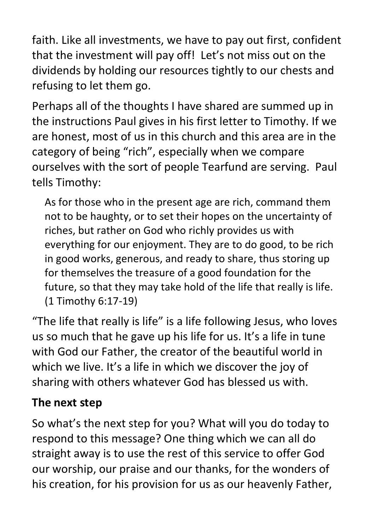faith. Like all investments, we have to pay out first, confident that the investment will pay off! Let's not miss out on the dividends by holding our resources tightly to our chests and refusing to let them go.

Perhaps all of the thoughts I have shared are summed up in the instructions Paul gives in his first letter to Timothy. If we are honest, most of us in this church and this area are in the category of being "rich", especially when we compare ourselves with the sort of people Tearfund are serving. Paul tells Timothy:

As for those who in the present age are rich, command them not to be haughty, or to set their hopes on the uncertainty of riches, but rather on God who richly provides us with everything for our enjoyment. They are to do good, to be rich in good works, generous, and ready to share, thus storing up for themselves the treasure of a good foundation for the future, so that they may take hold of the life that really is life. (1 Timothy 6:17-19)

"The life that really is life" is a life following Jesus, who loves us so much that he gave up his life for us. It's a life in tune with God our Father, the creator of the beautiful world in which we live. It's a life in which we discover the joy of sharing with others whatever God has blessed us with.

#### **The next step**

So what's the next step for you? What will you do today to respond to this message? One thing which we can all do straight away is to use the rest of this service to offer God our worship, our praise and our thanks, for the wonders of his creation, for his provision for us as our heavenly Father,